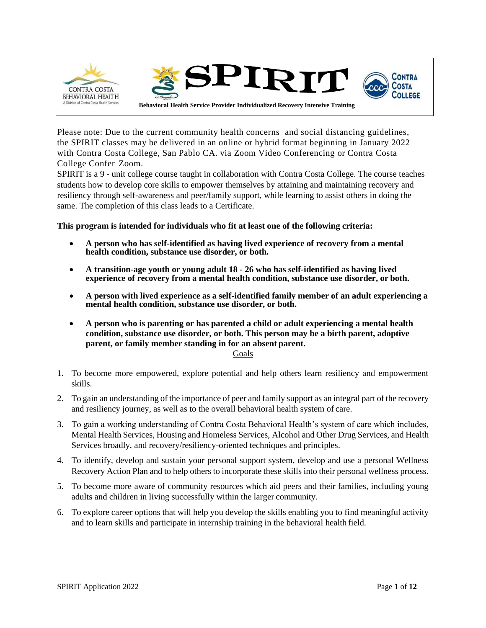

Please note: Due to the current community health concerns and social distancing guidelines, the SPIRIT classes may be delivered in an online or hybrid format beginning in January 2022 with Contra Costa College, San Pablo CA. via Zoom Video Conferencing or Contra Costa College Confer Zoom.

SPIRIT is a 9 - unit college course taught in collaboration with Contra Costa College. The course teaches students how to develop core skills to empower themselves by attaining and maintaining recovery and resiliency through self-awareness and peer/family support, while learning to assist others in doing the same. The completion of this class leads to a Certificate.

**This program is intended for individuals who fit at least one of the following criteria:**

- **A person who has self-identified as having lived experience of recovery from a mental health condition, substance use disorder, or both.**
- **A transition-age youth or young adult 18 - 26 who has self-identified as having lived experience of recovery from a mental health condition, substance use disorder, or both.**
- **A person with lived experience as a self-identified family member of an adult experiencing a mental health condition, substance use disorder, or both.**
- **A person who is parenting or has parented a child or adult experiencing a mental health condition, substance use disorder, or both. This person may be a birth parent, adoptive parent, or family member standing in for an absent parent.**

Goals

- 1. To become more empowered, explore potential and help others learn resiliency and empowerment skills.
- 2. To gain an understanding of the importance of peer and family support as an integral part of the recovery and resiliency journey, as well as to the overall behavioral health system of care.
- 3. To gain a working understanding of Contra Costa Behavioral Health's system of care which includes, Mental Health Services, Housing and Homeless Services, Alcohol and Other Drug Services, and Health Services broadly, and recovery/resiliency-oriented techniques and principles.
- 4. To identify, develop and sustain your personal support system, develop and use a personal Wellness Recovery Action Plan and to help others to incorporate these skills into their personal wellness process.
- 5. To become more aware of community resources which aid peers and their families, including young adults and children in living successfully within the larger community.
- 6. To explore career options that will help you develop the skills enabling you to find meaningful activity and to learn skills and participate in internship training in the behavioral health field.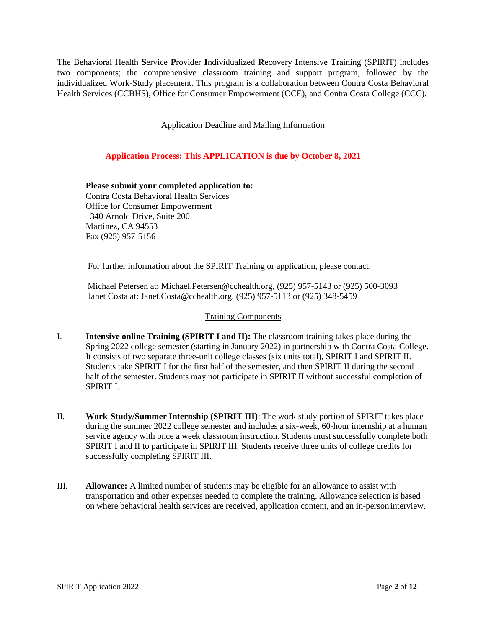The Behavioral Health **S**ervice **P**rovider **I**ndividualized **R**ecovery **I**ntensive **T**raining (SPIRIT) includes two components; the comprehensive classroom training and support program, followed by the individualized Work-Study placement. This program is a collaboration between Contra Costa Behavioral Health Services (CCBHS), Office for Consumer Empowerment (OCE), and Contra Costa College (CCC).

Application Deadline and Mailing Information

## **Application Process: This APPLICATION is due by October 8, 2021**

**Please submit your completed application to:** Contra Costa Behavioral Health Services Office for Consumer Empowerment 1340 Arnold Drive, Suite 200 Martinez, CA 94553 Fax (925) 957-5156

For further information about the SPIRIT Training or application, please contact:

Michael Petersen at: [Michael.Petersen@cchealth.org, \(](mailto:Michael.Petersen@cchealth.org)925) 957-5143 or (925) 500-3093 Janet Costa at: [Janet.Costa@cchealth.org, \(](mailto:Janet.Costa@cchealth.org)925) 957-5113 or (925) 348-5459

### Training Components

- I. **Intensive online Training (SPIRIT I and II):** The classroom training takes place during the Spring 2022 college semester (starting in January 2022) in partnership with Contra Costa College. It consists of two separate three-unit college classes (six units total), SPIRIT I and SPIRIT II. Students take SPIRIT I for the first half of the semester, and then SPIRIT II during the second half of the semester. Students may not participate in SPIRIT II without successful completion of SPIRIT I.
- II. **Work-Study/Summer Internship (SPIRIT III)**: The work study portion of SPIRIT takes place during the summer 2022 college semester and includes a six-week, 60-hour internship at a human service agency with once a week classroom instruction. Students must successfully complete both SPIRIT I and II to participate in SPIRIT III. Students receive three units of college credits for successfully completing SPIRIT III.
- III. **Allowance:** A limited number of students may be eligible for an allowance to assist with transportation and other expenses needed to complete the training. Allowance selection is based on where behavioral health services are received, application content, and an in-person interview.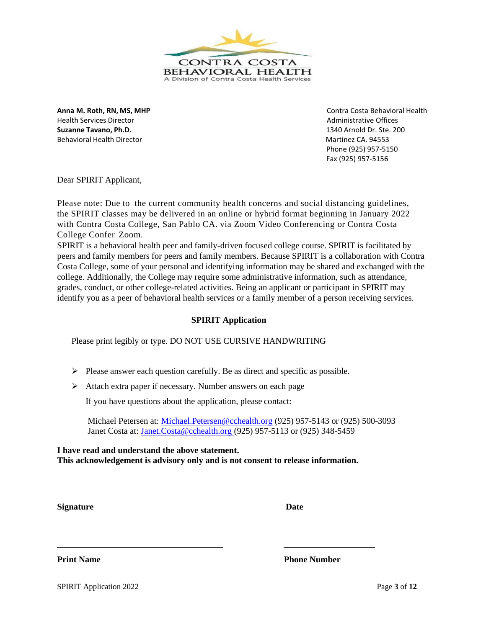

Health Services Director **Administrative Offices** Administrative Offices **Suzanne Tavano, Ph.D.** 1340 Arnold Dr. Ste. 200 Behavioral Health Director **Martinez CA. 94553** Martinez CA. 94553

**Anna M. Roth, RN, MS, MHP** Contra Costa Behavioral Health Phone (925) 957-5150 Fax (925) 957-5156

Dear SPIRIT Applicant,

Please note: Due to the current community health concerns and social distancing guidelines, the SPIRIT classes may be delivered in an online or hybrid format beginning in January 2022 with Contra Costa College, San Pablo CA. via Zoom Video Conferencing or Contra Costa College Confer Zoom.

SPIRIT is a behavioral health peer and family-driven focused college course. SPIRIT is facilitated by peers and family members for peers and family members. Because SPIRIT is a collaboration with Contra Costa College, some of your personal and identifying information may be shared and exchanged with the college. Additionally, the College may require some administrative information, such as attendance, grades, conduct, or other college-related activities. Being an applicant or participant in SPIRIT may identify you as a peer of behavioral health services or a family member of a person receiving services.

# **SPIRIT Application**

Please print legibly or type. DO NOT USE CURSIVE HANDWRITING

- ➢ Please answer each question carefully. Be as direct and specific as possible.
- ➢ Attach extra paper if necessary. Number answers on each page

If you have questions about the application, please contact:

Michael Petersen at: [Michael.Petersen@cchealth.org](mailto:Michael.Petersen@cchealth.org) (925) 957-5143 or (925) 500-3093 Janet Costa at: [Janet.Costa@cchealth.org](mailto:Janet.Costa@cchealth.org) (925) 957-5113 or (925) 348-5459

**I have read and understand the above statement. This acknowledgement is advisory only and is not consent to release information.**

**Signature Date**

**Print Name Phone Number** 

SPIRIT Application 2022 **Page 3** of **12**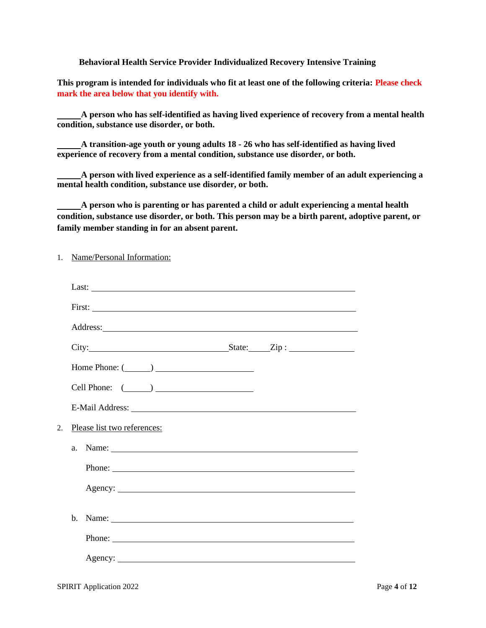#### **Behavioral Health Service Provider Individualized Recovery Intensive Training**

**This program is intended for individuals who fit at least one of the following criteria: Please check mark the area below that you identify with.**

**A person who has self-identified as having lived experience of recovery from a mental health condition, substance use disorder, or both.**

**A transition-age youth or young adults 18 - 26 who has self-identified as having lived experience of recovery from a mental condition, substance use disorder, or both.**

**A person with lived experience as a self-identified family member of an adult experiencing a mental health condition, substance use disorder, or both.**

**A person who is parenting or has parented a child or adult experiencing a mental health condition, substance use disorder, or both. This person may be a birth parent, adoptive parent, or family member standing in for an absent parent.**

1. Name/Personal Information:

|    | Address: National Address: National Address: National Address: National Address: National Address: National Address: National Address: National Address: National Address: National Address: National Address: National Addres |  |
|----|--------------------------------------------------------------------------------------------------------------------------------------------------------------------------------------------------------------------------------|--|
|    | City: $\qquad \qquad \text{State:} \qquad \text{Zip}:$                                                                                                                                                                         |  |
|    | Home Phone: $(\_\_)$                                                                                                                                                                                                           |  |
|    | Cell Phone: $(\_\_)$                                                                                                                                                                                                           |  |
|    |                                                                                                                                                                                                                                |  |
| 2. | Please list two references:                                                                                                                                                                                                    |  |
|    | a. Name:                                                                                                                                                                                                                       |  |
|    | Phone:                                                                                                                                                                                                                         |  |
|    | Agency:                                                                                                                                                                                                                        |  |
|    |                                                                                                                                                                                                                                |  |
|    |                                                                                                                                                                                                                                |  |
|    | Phone:                                                                                                                                                                                                                         |  |
|    | Agency:                                                                                                                                                                                                                        |  |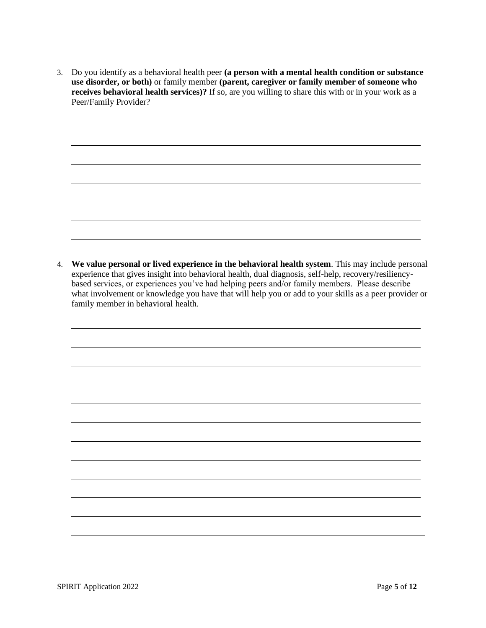3. Do you identify as a behavioral health peer **(a person with a mental health condition or substance use disorder, or both)** or family member **(parent, caregiver or family member of someone who receives behavioral health services)?** If so, are you willing to share this with or in your work as a Peer/Family Provider?

4. **We value personal or lived experience in the behavioral health system**. This may include personal experience that gives insight into behavioral health, dual diagnosis, self-help, recovery/resiliencybased services, or experiences you've had helping peers and/or family members. Please describe what involvement or knowledge you have that will help you or add to your skills as a peer provider or family member in behavioral health.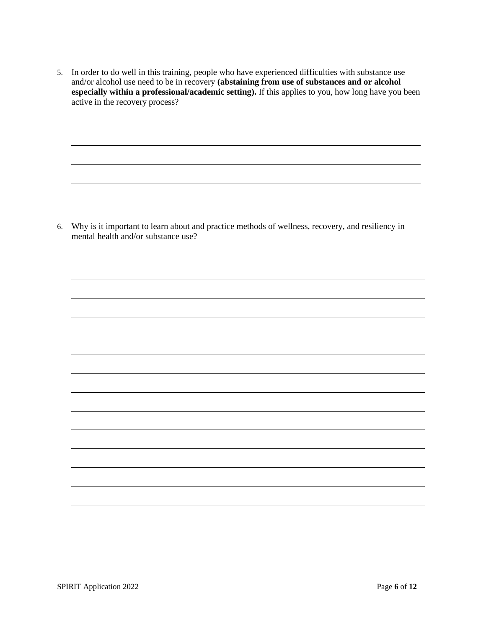5. In order to do well in this training, people who have experienced difficulties with substance use and/or alcohol use need to be in recovery **(abstaining from use of substances and or alcohol especially within a professional/academic setting).** If this applies to you, how long have you been active in the recovery process?

6. Why is it important to learn about and practice methods of wellness, recovery, and resiliency in mental health and/or substance use?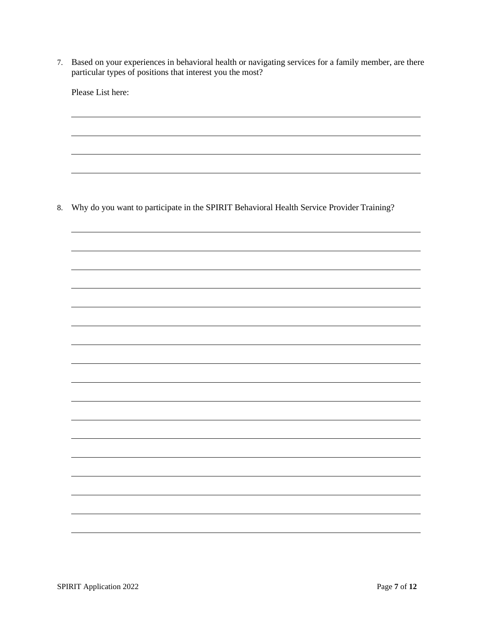7. Based on your experiences in behavioral health or navigating services for a family member, are there particular types of positions that interest you the most?

Please List here:

8. Why do you want to participate in the SPIRIT Behavioral Health Service Provider Training?

SPIRIT Application 2022 Page 7 of 12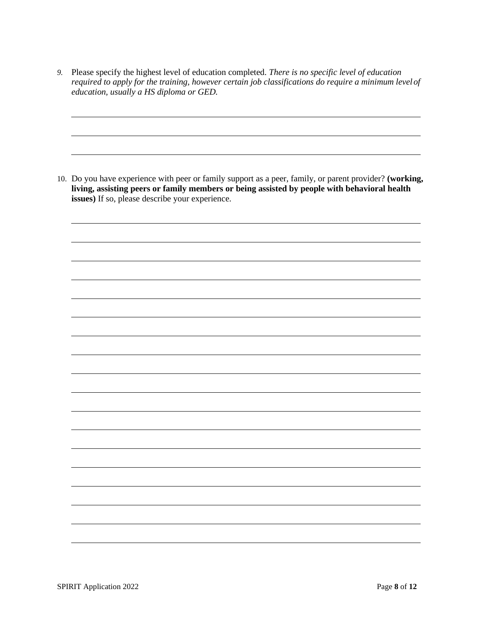*9.* Please specify the highest level of education completed. *There is no specific level of education required to apply for the training, however certain job classifications do require a minimum level of education, usually a HS diploma or GED.*

10. Do you have experience with peer or family support as a peer, family, or parent provider? **(working, living, assisting peers or family members or being assisted by people with behavioral health issues)** If so, please describe your experience.

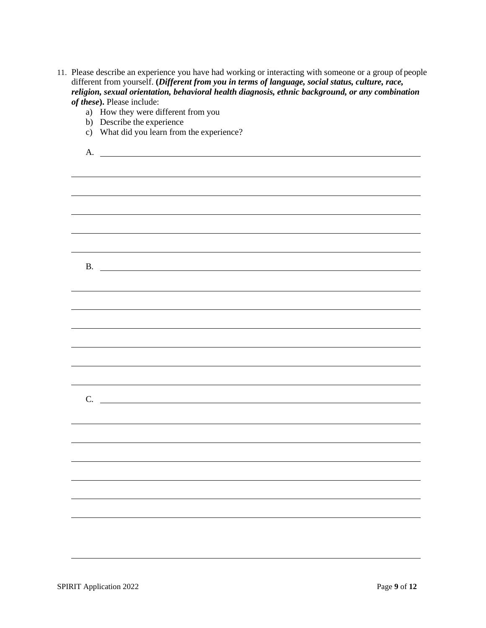| 11. Please describe an experience you have had working or interacting with someone or a group of people |
|---------------------------------------------------------------------------------------------------------|
| different from yourself. (Different from you in terms of language, social status, culture, race,        |
| religion, sexual orientation, behavioral health diagnosis, ethnic background, or any combination        |
| <i>of these</i> ). Please include:                                                                      |

- a) How they were different from you
- b) Describe the experience
- c) What did you learn from the experience?

| A. |                                                                                   |  |  |
|----|-----------------------------------------------------------------------------------|--|--|
|    |                                                                                   |  |  |
|    |                                                                                   |  |  |
|    |                                                                                   |  |  |
|    |                                                                                   |  |  |
|    |                                                                                   |  |  |
|    |                                                                                   |  |  |
|    |                                                                                   |  |  |
|    |                                                                                   |  |  |
|    |                                                                                   |  |  |
|    |                                                                                   |  |  |
|    |                                                                                   |  |  |
|    |                                                                                   |  |  |
|    | ,我们也不能会有什么。""我们的人,我们也不能会有什么?""我们的人,我们也不能会有什么?""我们的人,我们也不能会有什么?""我们的人,我们也不能会有什么?"" |  |  |
|    |                                                                                   |  |  |
|    |                                                                                   |  |  |
|    |                                                                                   |  |  |
|    |                                                                                   |  |  |
|    |                                                                                   |  |  |
|    |                                                                                   |  |  |
|    |                                                                                   |  |  |
|    |                                                                                   |  |  |
|    |                                                                                   |  |  |
|    |                                                                                   |  |  |
|    |                                                                                   |  |  |
|    |                                                                                   |  |  |
|    |                                                                                   |  |  |
|    |                                                                                   |  |  |
|    | ,我们也不会有什么。""我们的人,我们也不会有什么?""我们的人,我们也不会有什么?""我们的人,我们也不会有什么?""我们的人,我们也不会有什么?""我们的人  |  |  |
|    |                                                                                   |  |  |
|    |                                                                                   |  |  |
|    |                                                                                   |  |  |
|    |                                                                                   |  |  |
|    | $C.$ $\qquad \qquad$                                                              |  |  |
|    |                                                                                   |  |  |
|    |                                                                                   |  |  |
|    |                                                                                   |  |  |
|    |                                                                                   |  |  |
|    |                                                                                   |  |  |
|    |                                                                                   |  |  |
|    |                                                                                   |  |  |
|    |                                                                                   |  |  |
|    |                                                                                   |  |  |
|    |                                                                                   |  |  |
|    |                                                                                   |  |  |
|    |                                                                                   |  |  |
|    |                                                                                   |  |  |
|    |                                                                                   |  |  |
|    |                                                                                   |  |  |
|    |                                                                                   |  |  |
|    |                                                                                   |  |  |
|    |                                                                                   |  |  |
|    |                                                                                   |  |  |
|    |                                                                                   |  |  |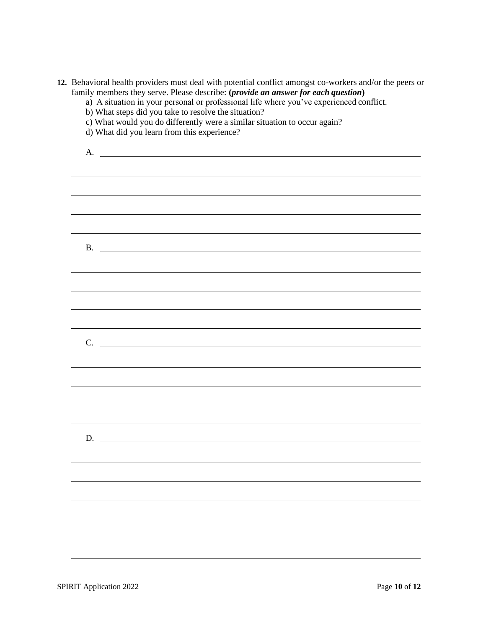| 12. Behavioral health providers must deal with potential conflict amongst co-workers and/or the peers or<br>family members they serve. Please describe: (provide an answer for each question) |  |  |  |  |
|-----------------------------------------------------------------------------------------------------------------------------------------------------------------------------------------------|--|--|--|--|
| a) A situation in your personal or professional life where you've experienced conflict.                                                                                                       |  |  |  |  |
| b) What steps did you take to resolve the situation?                                                                                                                                          |  |  |  |  |
| c) What would you do differently were a similar situation to occur again?                                                                                                                     |  |  |  |  |
| d) What did you learn from this experience?                                                                                                                                                   |  |  |  |  |
|                                                                                                                                                                                               |  |  |  |  |
|                                                                                                                                                                                               |  |  |  |  |
| ,我们也不能在这里的时候,我们也不能在这里的时候,我们也不能会在这里的时候,我们也不能会在这里的时候,我们也不能会在这里的时候,我们也不能会在这里的时候,我们也不                                                                                                             |  |  |  |  |
|                                                                                                                                                                                               |  |  |  |  |
|                                                                                                                                                                                               |  |  |  |  |
|                                                                                                                                                                                               |  |  |  |  |
| ,我们也不会有什么。""我们的人,我们也不会有什么?""我们的人,我们也不会有什么?""我们的人,我们也不会有什么?""我们的人,我们也不会有什么?""我们的人                                                                                                              |  |  |  |  |
|                                                                                                                                                                                               |  |  |  |  |
|                                                                                                                                                                                               |  |  |  |  |
|                                                                                                                                                                                               |  |  |  |  |
|                                                                                                                                                                                               |  |  |  |  |
|                                                                                                                                                                                               |  |  |  |  |
|                                                                                                                                                                                               |  |  |  |  |
| ,我们也不会有什么。""我们的人,我们也不会有什么?""我们的人,我们也不会有什么?""我们的人,我们也不会有什么?""我们的人,我们也不会有什么?""我们的人                                                                                                              |  |  |  |  |
| <u> 1989 - Johann Harry Harry Harry Harry Harry Harry Harry Harry Harry Harry Harry Harry Harry Harry Harry Harry</u><br>$C_{\cdot}$                                                          |  |  |  |  |
|                                                                                                                                                                                               |  |  |  |  |
|                                                                                                                                                                                               |  |  |  |  |
|                                                                                                                                                                                               |  |  |  |  |
|                                                                                                                                                                                               |  |  |  |  |
|                                                                                                                                                                                               |  |  |  |  |
|                                                                                                                                                                                               |  |  |  |  |
| D.                                                                                                                                                                                            |  |  |  |  |
|                                                                                                                                                                                               |  |  |  |  |
|                                                                                                                                                                                               |  |  |  |  |
|                                                                                                                                                                                               |  |  |  |  |
|                                                                                                                                                                                               |  |  |  |  |
|                                                                                                                                                                                               |  |  |  |  |
|                                                                                                                                                                                               |  |  |  |  |
|                                                                                                                                                                                               |  |  |  |  |
|                                                                                                                                                                                               |  |  |  |  |
|                                                                                                                                                                                               |  |  |  |  |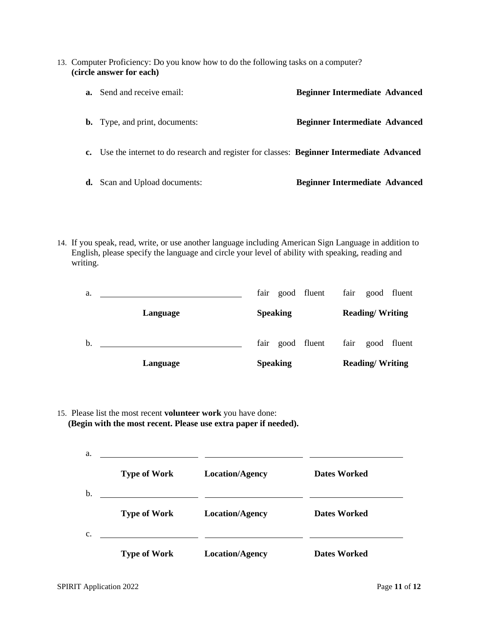13. Computer Proficiency: Do you know how to do the following tasks on a computer? **(circle answer for each)**

| <b>a.</b> Send and receive email:                                                           | <b>Beginner Intermediate Advanced</b> |
|---------------------------------------------------------------------------------------------|---------------------------------------|
| <b>b.</b> Type, and print, documents:                                                       | <b>Beginner Intermediate Advanced</b> |
| c. Use the internet to do research and register for classes: Beginner Intermediate Advanced |                                       |
| <b>d.</b> Scan and Upload documents:                                                        | <b>Beginner Intermediate Advanced</b> |

14. If you speak, read, write, or use another language including American Sign Language in addition to English, please specify the language and circle your level of ability with speaking, reading and writing.

|    | Language | <b>Speaking</b> |                  |      | <b>Reading/Writing</b> |                  |
|----|----------|-----------------|------------------|------|------------------------|------------------|
| b. |          |                 | fair good fluent | fair |                        | good fluent      |
|    | Language | <b>Speaking</b> |                  |      | <b>Reading/Writing</b> |                  |
| a. |          |                 | fair good fluent |      |                        | fair good fluent |

15. Please list the most recent **volunteer work** you have done: **(Begin with the most recent. Please use extra paper if needed).**

| a. |                     |                        |                     |
|----|---------------------|------------------------|---------------------|
|    | <b>Type of Work</b> | <b>Location/Agency</b> | <b>Dates Worked</b> |
| b. |                     |                        |                     |
|    | <b>Type of Work</b> | <b>Location/Agency</b> | <b>Dates Worked</b> |
| c. |                     |                        |                     |
|    | <b>Type of Work</b> | <b>Location/Agency</b> | <b>Dates Worked</b> |